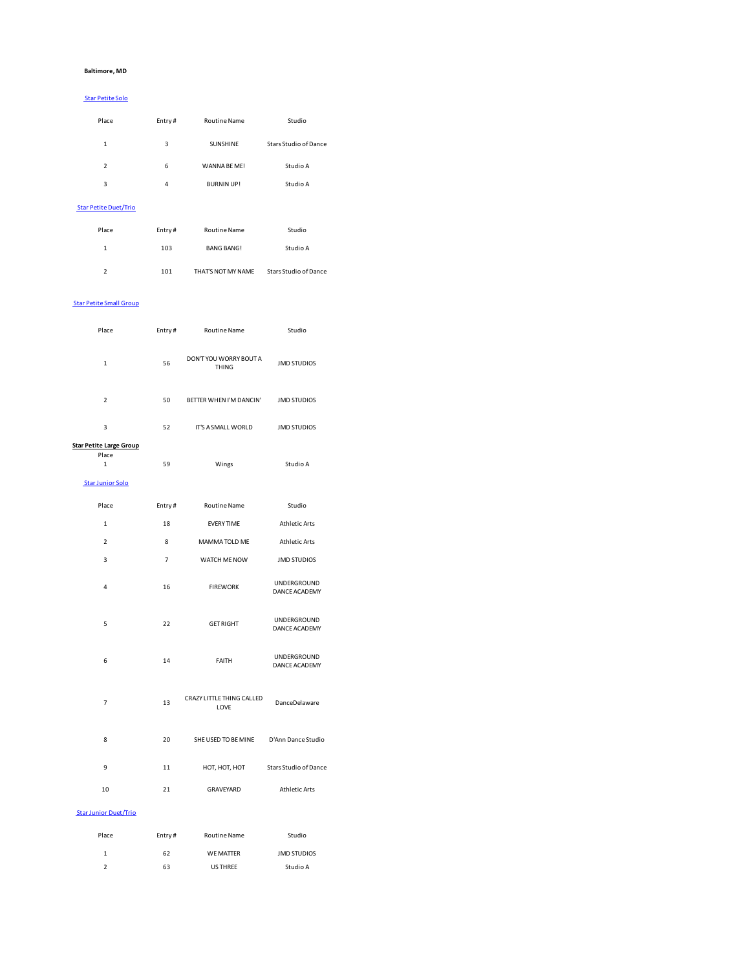#### **Baltimore, MD**

#### Star Petite Solo

| Place         | Entry# | <b>Routine Name</b> | Studio                |
|---------------|--------|---------------------|-----------------------|
| $\mathbf{1}$  | 3      | <b>SUNSHINE</b>     | Stars Studio of Dance |
| $\mathcal{P}$ | 6      | WANNA BF MFI        | Studio A              |
| 3             | 4      | <b>BURNIN UP!</b>   | Studio A              |

# Star Petite Duet/Trio

| Place          | Entry# | <b>Routine Name</b> | Studio                |
|----------------|--------|---------------------|-----------------------|
| 1              | 103    | <b>BANG BANG!</b>   | Studio A              |
| $\mathfrak{p}$ | 101    | THAT'S NOT MY NAME  | Stars Studio of Dance |

# Star Petite Small Group

| Place                          | Entry#         | <b>Routine Name</b>                    | Studio                                     |
|--------------------------------|----------------|----------------------------------------|--------------------------------------------|
| $\mathbf 1$                    | 56             | DON'T YOU WORRY BOUT A<br><b>THING</b> | <b>JMD STUDIOS</b>                         |
| $\overline{2}$                 | 50             | BETTER WHEN I'M DANCIN'                | <b>JMD STUDIOS</b>                         |
| 3                              | 52             | IT'S A SMALL WORLD                     | <b>JMD STUDIOS</b>                         |
| <b>Star Petite Large Group</b> |                |                                        |                                            |
| Place<br>$\mathbf 1$           | 59             | Wings                                  | Studio A                                   |
| <b>Star Junior Solo</b>        |                |                                        |                                            |
| Place                          | Entry#         | Routine Name                           | Studio                                     |
| $\mathbf{1}$                   | 18             | <b>EVERY TIME</b>                      | <b>Athletic Arts</b>                       |
| $\overline{2}$                 | 8              | MAMMA TOLD ME                          | <b>Athletic Arts</b>                       |
| 3                              | $\overline{7}$ | WATCH ME NOW                           | <b>JMD STUDIOS</b>                         |
| 4                              | 16             | <b>FIREWORK</b>                        | <b>UNDERGROUND</b><br><b>DANCE ACADEMY</b> |
| 5                              | 22             | <b>GET RIGHT</b>                       | UNDERGROUND<br>DANCE ACADEMY               |
| 6                              | 14             | FAITH                                  | UNDERGROUND<br>DANCE ACADEMY               |
| $\overline{7}$                 | 13             | CRAZY LITTLE THING CALLED<br>LOVE      | DanceDelaware                              |
| 8                              | 20             | SHE USED TO BE MINE D'Ann Dance Studio |                                            |
| 9                              | 11             | НОТ, НОТ, НОТ                          | <b>Stars Studio of Dance</b>               |
| 10                             | 21             | GRAVEYARD                              | <b>Athletic Arts</b>                       |
| <b>Star Junior Duet/Trio</b>   |                |                                        |                                            |
| Place                          | Entry#         | <b>Routine Name</b>                    | Studio                                     |
| $\mathbf 1$                    | 62             | <b>WE MATTER</b>                       | <b>JMD STUDIOS</b>                         |

2 63 US THREE Studio A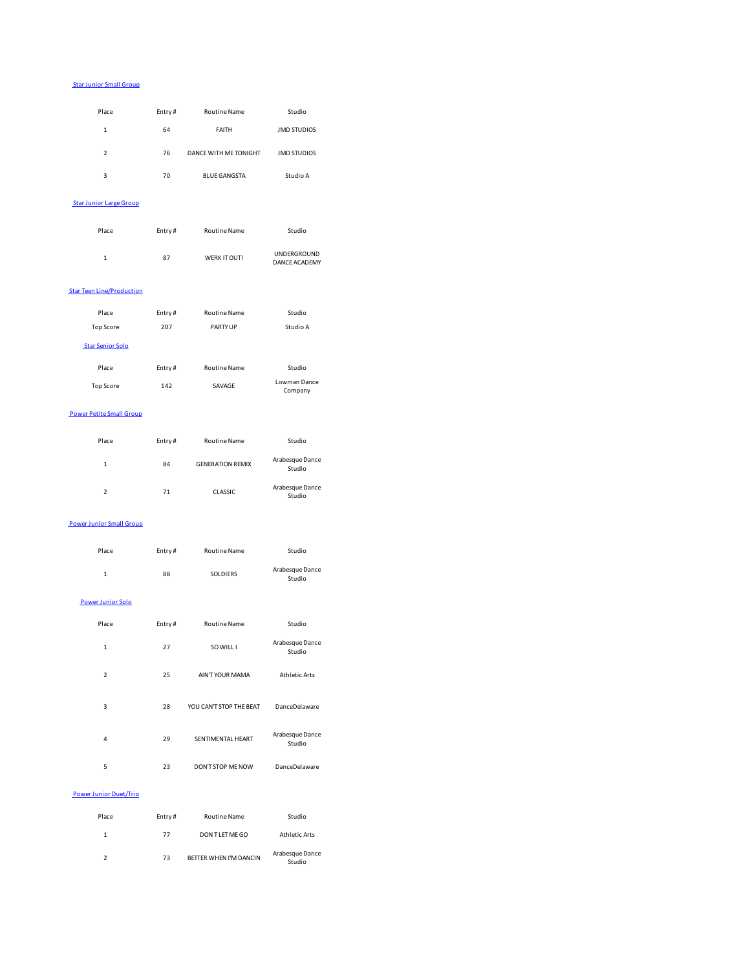#### Star Junior Small Group

| Place          | Entry# | <b>Routine Name</b>   | Studio             |
|----------------|--------|-----------------------|--------------------|
| 1              | 64     | <b>FAITH</b>          | <b>JMD STUDIOS</b> |
| $\mathfrak{p}$ | 76     | DANCE WITH ME TONIGHT | <b>JMD STUDIOS</b> |
| 3              | 70     | <b>BLUE GANGSTA</b>   | Studio A           |

## Star Junior Large Group

| Place | Entry# | <b>Routine Name</b> | Studio                              |  |
|-------|--------|---------------------|-------------------------------------|--|
| 1     | 87     | WERK IT OUT!        | <b>UNDERGROUND</b><br>DANCE ACADEMY |  |

#### **Star Teen Line/Production**

| Place                   | Entry# | <b>Routine Name</b> | Studio                  |
|-------------------------|--------|---------------------|-------------------------|
| <b>Top Score</b>        | 207    | <b>PARTY UP</b>     | Studio A                |
| <b>Star Senior Solo</b> |        |                     |                         |
| Place                   | Entry# | <b>Routine Name</b> | Studio                  |
| <b>Top Score</b>        | 142    | SAVAGE              | Lowman Dance<br>Company |
|                         |        |                     |                         |

### Power Petite Small Group

| Place         | Entry# | <b>Routine Name</b>     | Studio                    |
|---------------|--------|-------------------------|---------------------------|
| 1             | 84     | <b>GENERATION REMIX</b> | Arabesque Dance<br>Studio |
| $\mathfrak z$ | 71     | CLASSIC                 | Arabesque Dance<br>Studio |

#### Power Junior Small Group

| Place                    | Entry# | <b>Routine Name</b>     | Studio                    |
|--------------------------|--------|-------------------------|---------------------------|
| $\mathbf{1}$             | 88     | SOLDIERS                | Arabesque Dance<br>Studio |
| <b>Power Junior Solo</b> |        |                         |                           |
| Place                    | Entry# | <b>Routine Name</b>     | Studio                    |
| $\mathbf{1}$             | 27     | SO WILL I               | Arabesque Dance<br>Studio |
| $\overline{2}$           | 25     | AIN'T YOUR MAMA         | <b>Athletic Arts</b>      |
| 3                        | 28     | YOU CAN'T STOP THE BEAT | DanceDelaware             |
| 4                        | 29     | SENTIMENTAL HEART       | Arabesque Dance<br>Studio |
| 5                        | 23     | DON'T STOP ME NOW       | DanceDelaware             |

# Power Junior Duet/Trio

| Place          | Entry# | <b>Routine Name</b>    | Studio                    |
|----------------|--------|------------------------|---------------------------|
| 1              | 77     | DON TLET ME GO         | Athletic Arts             |
| $\mathfrak{p}$ | 73     | BETTER WHEN I'M DANCIN | Arabesque Dance<br>Studio |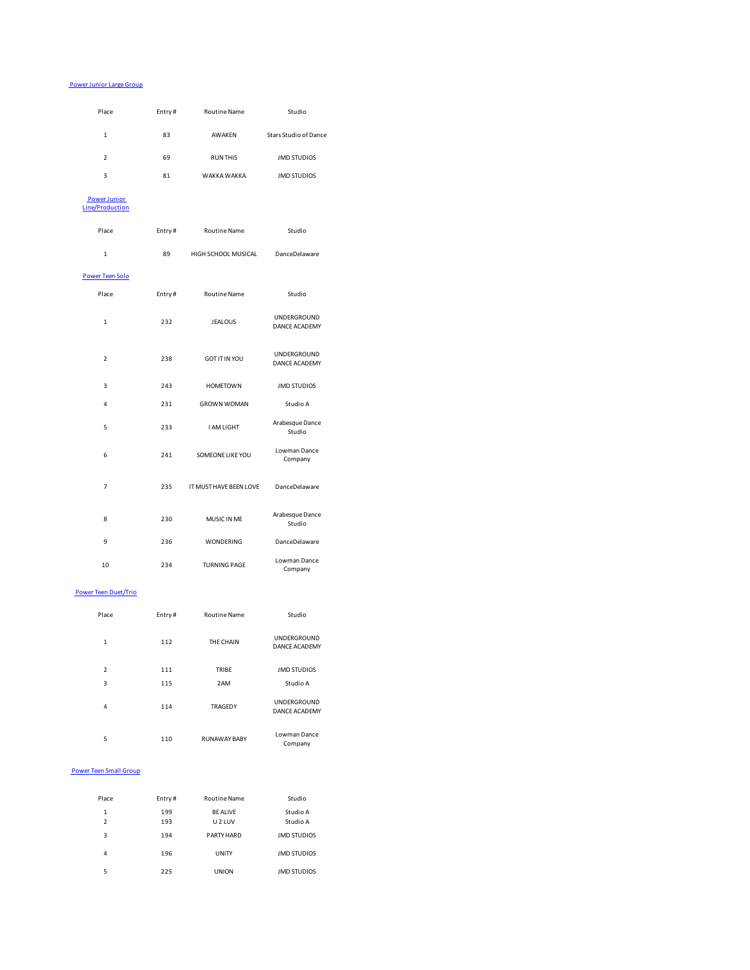#### Power Junior Large Group

| Place                                  | Entry# | <b>Routine Name</b>    | Studio                              |  |
|----------------------------------------|--------|------------------------|-------------------------------------|--|
| $\mathbf 1$                            | 83     | AWAKEN                 | <b>Stars Studio of Dance</b>        |  |
| $\overline{2}$                         | 69     | <b>RUN THIS</b>        | <b>JMD STUDIOS</b>                  |  |
| 3                                      | 81     | WAKKA WAKKA            | <b>JMD STUDIOS</b>                  |  |
| <b>Power Junior</b><br>Line/Production |        |                        |                                     |  |
| Place                                  | Entry# | <b>Routine Name</b>    | Studio                              |  |
| $\mathbf{1}$                           | 89     | HIGH SCHOOL MUSICAL    | DanceDelaware                       |  |
| <b>Power Teen Solo</b>                 |        |                        |                                     |  |
| Place                                  | Entry# | Routine Name           | Studio                              |  |
| $\mathbf{1}$                           | 232    | <b>JEALOUS</b>         | UNDERGROUND<br><b>DANCE ACADEMY</b> |  |
| $\overline{2}$                         | 238    | <b>GOT IT IN YOU</b>   | UNDERGROUND<br>DANCE ACADEMY        |  |
| 3                                      | 243    | <b>HOMETOWN</b>        | <b>JMD STUDIOS</b>                  |  |
| 4                                      | 231    | <b>GROWN WOMAN</b>     | Studio A                            |  |
| 5                                      | 233    | I AM LIGHT             | Arabesque Dance<br>Studio           |  |
| 6                                      | 241    | SOMEONE LIKE YOU       | Lowman Dance<br>Company             |  |
| 7                                      | 235    | IT MUST HAVE BEEN LOVE | DanceDelaware                       |  |
| 8                                      | 230    | MUSIC IN ME            | Arabesque Dance<br>Studio           |  |
| 9                                      | 236    | WONDERING              | DanceDelaware                       |  |
| 10                                     | 234    | <b>TURNING PAGE</b>    | Lowman Dance<br>Company             |  |
| <b>Power Teen Duet/Trio</b>            |        |                        |                                     |  |
| Place                                  | Entry# | <b>Routine Name</b>    | Studio                              |  |

| 1              | 112 | THE CHAIN           | <b>UNDERGROUND</b><br><b>DANCE ACADEMY</b> |
|----------------|-----|---------------------|--------------------------------------------|
| $\mathfrak{p}$ | 111 | TRIBE               | <b>JMD STUDIOS</b>                         |
| 3              | 115 | 2AM                 | Studio A                                   |
| 4              | 114 | <b>TRAGEDY</b>      | <b>UNDERGROUND</b><br><b>DANCE ACADEMY</b> |
| 5              | 110 | <b>RUNAWAY BABY</b> | Lowman Dance<br>Company                    |

# Power Teen Small Group

| Place          | Entry# | <b>Routine Name</b> | Studio             |
|----------------|--------|---------------------|--------------------|
| 1              | 199    | <b>BF ALIVE</b>     | Studio A           |
| $\mathfrak{p}$ | 193    | U <sub>2</sub> LUV  | Studio A           |
| 3              | 194    | PARTY HARD          | <b>JMD STUDIOS</b> |
| 4              | 196    | <b>UNITY</b>        | <b>JMD STUDIOS</b> |
| 5              | 225    | <b>UNION</b>        | <b>JMD STUDIOS</b> |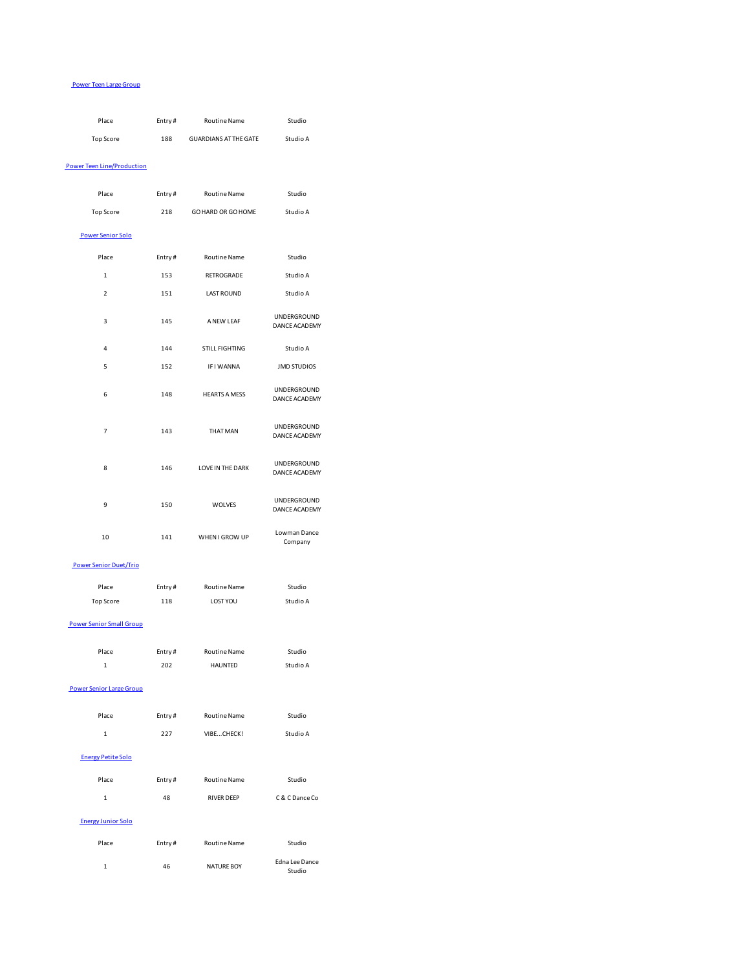#### Power Teen Large Group

| Place                             | Entry# | Routine Name              | Studio                       |
|-----------------------------------|--------|---------------------------|------------------------------|
| <b>Top Score</b>                  |        | 188 GUARDIANS AT THE GATE | Studio A                     |
|                                   |        |                           |                              |
| <b>Power Teen Line/Production</b> |        |                           |                              |
| Place                             | Entry# | Routine Name              | Studio                       |
| <b>Top Score</b>                  | 218    | GO HARD OR GO HOME        | Studio A                     |
| <b>Power Senior Solo</b>          |        |                           |                              |
|                                   |        |                           |                              |
| Place                             | Entry# | <b>Routine Name</b>       | Studio                       |
| 1                                 | 153    | RETROGRADE                | Studio A                     |
| 2                                 | 151    | <b>LAST ROUND</b>         | Studio A                     |
| 3                                 | 145    | A NEW LEAF                | UNDERGROUND<br>DANCE ACADEMY |
| 4                                 | 144    | STILL FIGHTING            | Studio A                     |
| 5                                 | 152    | IF I WANNA                | <b>JMD STUDIOS</b>           |
| 6                                 | 148    | <b>HEARTS A MESS</b>      | UNDERGROUND<br>DANCE ACADEMY |
| $\overline{7}$                    | 143    | THAT MAN                  | UNDERGROUND<br>DANCE ACADEMY |
| 8                                 | 146    | LOVE IN THE DARK          | UNDERGROUND<br>DANCE ACADEMY |
| 9                                 | 150    | WOLVES                    | UNDERGROUND<br>DANCE ACADEMY |
| 10                                | 141    | WHEN I GROW UP            | Lowman Dance<br>Company      |
| <b>Power Senior Duet/Trio</b>     |        |                           |                              |
| Place                             | Entry# | Routine Name              | Studio                       |
| <b>Top Score</b>                  | 118    | <b>LOST YOU</b>           | Studio A                     |
| <b>Power Senior Small Group</b>   |        |                           |                              |
| Place                             | Entry# | <b>Routine Name</b>       | Studio                       |
| $\mathbf 1$                       | 202    | <b>HAUNTED</b>            | Studio A                     |
| <b>Power Senior Large Group</b>   |        |                           |                              |
| Place                             | Entry# | Routine Name              | Studio                       |
| $\mathbf 1$                       | 227    | VIBECHECK!                | Studio A                     |
| <b>Energy Petite Solo</b>         |        |                           |                              |
| Place                             | Entry# | Routine Name              | Studio                       |
| $\mathbf 1$                       | 48     | <b>RIVER DEEP</b>         | C & C Dance Co               |
| <b>Energy Junior Solo</b>         |        |                           |                              |
| Place                             | Entry# | Routine Name              | Studio                       |
| $\mathbf 1$                       | 46     | NATURE BOY                | Edna Lee Dance<br>Studio     |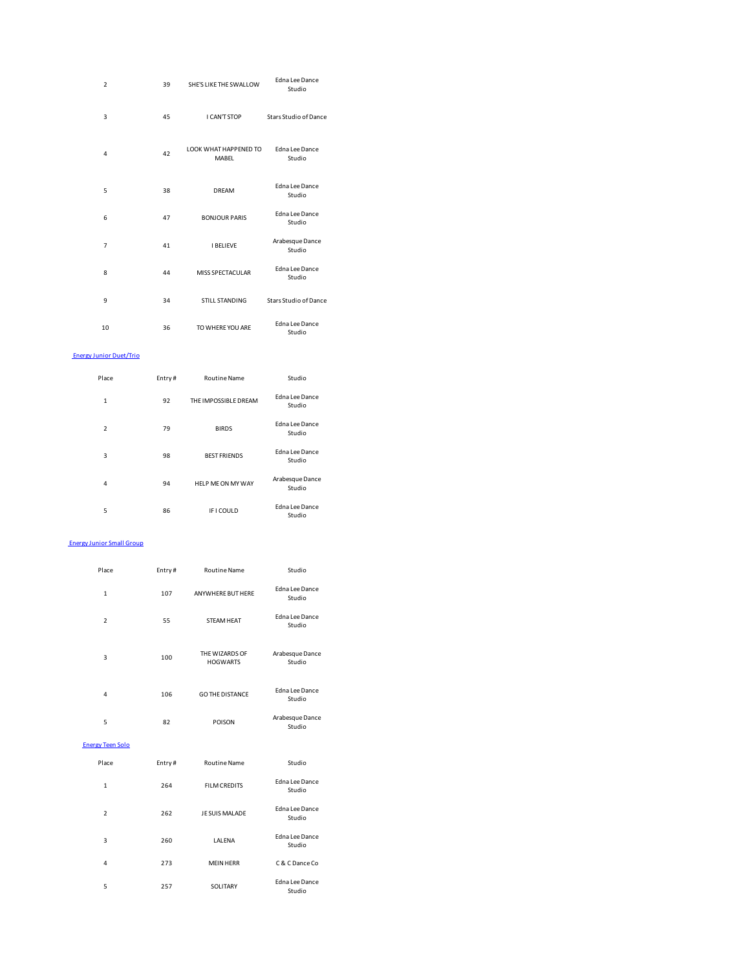| $\overline{2}$                   | 39     | SHE'S LIKE THE SWALLOW         | Edna Lee Dance<br>Studio  |
|----------------------------------|--------|--------------------------------|---------------------------|
| $\overline{\mathbf{3}}$          | 45     | I CAN'T STOP                   | Stars Studio of Dance     |
| $\overline{4}$                   | 42     | LOOK WHAT HAPPENED TO<br>MABEL | Edna Lee Dance<br>Studio  |
| 5                                | 38     | DREAM                          | Edna Lee Dance<br>Studio  |
| 6                                | 47     | <b>BONJOUR PARIS</b>           | Edna Lee Dance<br>Studio  |
| $\overline{7}$                   | 41     | <b>I BELIEVE</b>               | Arabesque Dance<br>Studio |
| 8                                | 44     | MISS SPECTACULAR               | Edna Lee Dance<br>Studio  |
| 9                                | 34     | STILL STANDING                 | Stars Studio of Dance     |
| 10                               | 36     | TO WHERE YOU ARE               | Edna Lee Dance<br>Studio  |
| <b>Energy Junior Duet/Trio</b>   |        |                                |                           |
| Place                            | Entry# | <b>Routine Name</b>            | Studio                    |
| $\mathbf{1}$                     | 92     | THE IMPOSSIBLE DREAM           | Edna Lee Dance<br>Studio  |
| $\overline{2}$                   | 79     | <b>BIRDS</b>                   | Edna Lee Dance<br>Studio  |
| 3                                | 98     | <b>BEST FRIENDS</b>            | Edna Lee Dance<br>Studio  |
| 4                                | 94     | HELP ME ON MY WAY              | Arabesque Dance<br>Studio |
| 5                                | 86     | <b>IFICOULD</b>                | Edna Lee Dance<br>Studio  |
| <b>Energy Junior Small Group</b> |        |                                |                           |
| Place                            | Entry# | <b>Routine Name</b>            | Studio                    |
| $\mathbf{1}$                     | 107    | ANYWHERE BUT HERE              | Edna Lee Dance<br>Studio  |
| $\overline{2}$                   | 55     | STEAM HEAT                     | Edna Lee Dance<br>Studio  |
| 3                                |        | THE WIZARDS OF                 |                           |

4 106 GO THE DISTANCE Edna Lee Dance Studio 5 82 POISON Arabesque Dance Studio Energy Teen Solo Place Entry # Routine Name Studio 1 264 FILM CREDITS Edna Lee Dance Studio 2 262 JE SUIS MALADE Edna Lee Dance Studio 3 260 LALENA Edna Lee Dance Studio 4 273 MEIN HERR C & C Dance Co

5 257 SOLITARY Edna Lee Dance Studio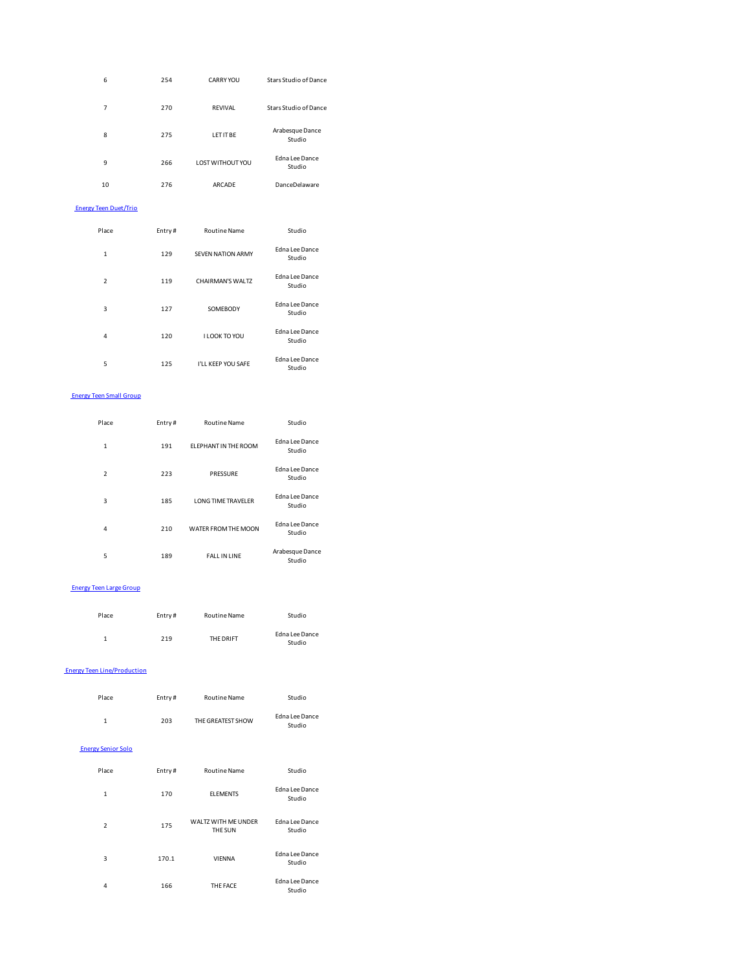| 6  | 254 | CARRY YOU        | Stars Studio of Dance           |
|----|-----|------------------|---------------------------------|
| 7  | 270 | <b>RFVIVAL</b>   | Stars Studio of Dance           |
| 8  | 275 | LFT IT BF        | Arabesque Dance<br>Studio       |
| 9  | 266 | LOST WITHOUT YOU | <b>Edna Lee Dance</b><br>Studio |
| 10 | 276 | <b>ARCADE</b>    | <b>DanceDelaware</b>            |

## Energy Teen Duet/Trio

| Place          | Entry# | <b>Routine Name</b>      | Studio                          |  |
|----------------|--------|--------------------------|---------------------------------|--|
| $\mathbf{1}$   | 129    | <b>SEVEN NATION ARMY</b> | Edna Lee Dance<br>Studio        |  |
| $\overline{2}$ | 119    | CHAIRMAN'S WALTZ         | <b>Edna Lee Dance</b><br>Studio |  |
| 3              | 127    | SOMEBODY                 | Edna Lee Dance<br>Studio        |  |
| 4              | 120    | I LOOK TO YOU            | <b>Edna Lee Dance</b><br>Studio |  |
| 5              | 125    | I'LL KEEP YOU SAFE       | Edna Lee Dance<br>Studio        |  |

#### Energy Teen Small Group

| Place          | Entry# | <b>Routine Name</b>         | Studio                          |  |
|----------------|--------|-----------------------------|---------------------------------|--|
| 1              | 191    | <b>FLEPHANT IN THE ROOM</b> | Edna Lee Dance<br>Studio        |  |
| $\overline{2}$ | 223    | PRESSURE                    | Edna Lee Dance<br>Studio        |  |
| 3              | 185    | <b>LONG TIME TRAVELER</b>   | Edna Lee Dance<br>Studio        |  |
| 4              | 210    | WATER FROM THE MOON         | <b>Edna Lee Dance</b><br>Studio |  |
| 5              | 189    | <b>FALL IN LINE</b>         | Arabesque Dance<br>Studio       |  |

#### Energy Teen Large Group

| Place | Entry# | <b>Routine Name</b> | Studio                   |
|-------|--------|---------------------|--------------------------|
| 1     | 219    | THE DRIFT           | Edna Lee Dance<br>Studio |

#### Energy Teen Line/Production

| Place | Entry# | <b>Routine Name</b> | Studio                   |
|-------|--------|---------------------|--------------------------|
| 1     | 203    | THE GREATEST SHOW   | Edna Lee Dance<br>Studio |

# Energy Senior Solo

| Place         | Entry# | <b>Routine Name</b>            | Studio                          |
|---------------|--------|--------------------------------|---------------------------------|
| $\mathbf{1}$  | 170    | <b>FLEMENTS</b>                | Edna Lee Dance<br>Studio        |
| $\mathcal{P}$ | 175    | WALTZ WITH ME UNDER<br>THE SUN | Edna Lee Dance<br>Studio        |
| 3             | 170.1  | <b>VIFNNA</b>                  | Edna Lee Dance<br>Studio        |
| 4             | 166    | THE FACE                       | <b>Edna Lee Dance</b><br>Studio |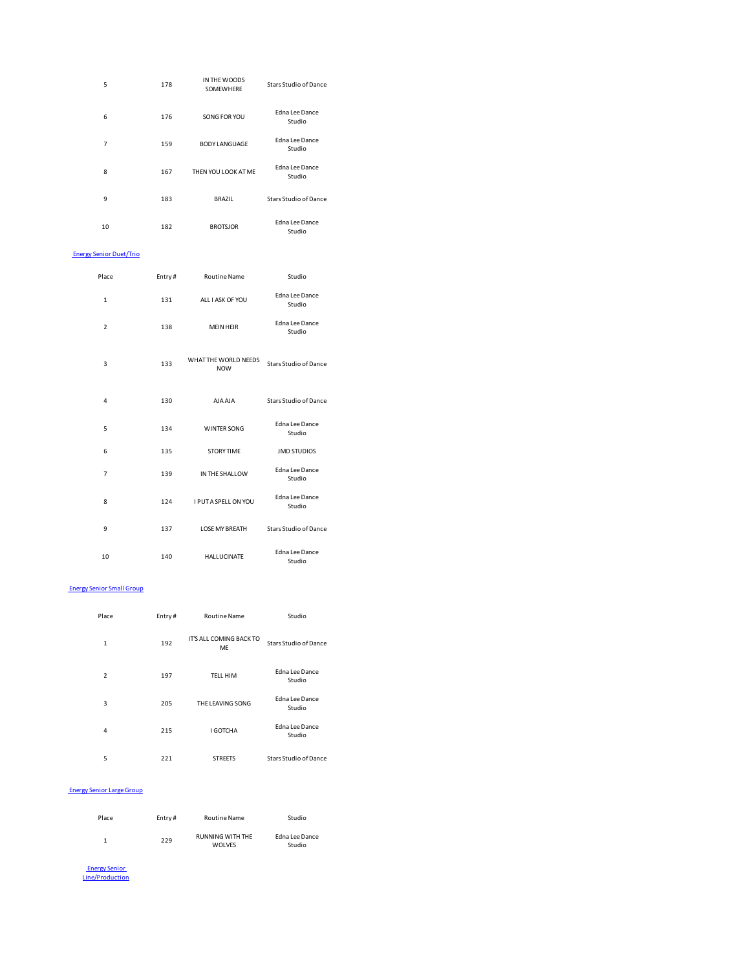| 5  | 178 | IN THE WOODS<br>SOMEWHERE | <b>Stars Studio of Dance</b> |
|----|-----|---------------------------|------------------------------|
| 6  | 176 | SONG FOR YOU              | Edna Lee Dance<br>Studio     |
| 7  | 159 | <b>BODY LANGUAGE</b>      | Edna Lee Dance<br>Studio     |
| 8  | 167 | THEN YOU LOOK AT ME       | Edna Lee Dance<br>Studio     |
| 9  | 183 | BRAZIL                    | Stars Studio of Dance        |
| 10 | 182 | <b>BROTSJOR</b>           | Edna Lee Dance<br>Studio     |

# Energy Senior Duet/Trio

| Place          | Entry# | <b>Routine Name</b>                | Studio                          |
|----------------|--------|------------------------------------|---------------------------------|
|                |        |                                    |                                 |
| $\mathbf{1}$   | 131    | ALL LASK OF YOU                    | <b>Edna Lee Dance</b><br>Studio |
| $\overline{2}$ | 138    | <b>MEIN HEIR</b>                   | <b>Edna Lee Dance</b><br>Studio |
| $\overline{3}$ | 133    | WHAT THE WORLD NEEDS<br><b>NOW</b> | Stars Studio of Dance           |
| $\overline{a}$ | 130    | <b>AJAAJA</b>                      | <b>Stars Studio of Dance</b>    |
| 5              | 134    | <b>WINTER SONG</b>                 | <b>Edna Lee Dance</b><br>Studio |
| 6              | 135    | <b>STORY TIME</b>                  | <b>JMD STUDIOS</b>              |
| $\overline{7}$ | 139    | IN THE SHALLOW                     | <b>Edna Lee Dance</b><br>Studio |
| $\mathbf{8}$   | 124    | <b>I PUT A SPELL ON YOU</b>        | <b>Edna Lee Dance</b><br>Studio |
| 9              | 137    | <b>LOSE MY BREATH</b>              | Stars Studio of Dance           |
| 10             | 140    | <b>HALLUCINATE</b>                 | <b>Edna Lee Dance</b><br>Studio |

#### Energy Senior Small Group

| Place          | Entry# | <b>Routine Name</b>           | Studio                          |
|----------------|--------|-------------------------------|---------------------------------|
| $\mathbf{1}$   | 192    | IT'S ALL COMING BACK TO<br>MF | <b>Stars Studio of Dance</b>    |
| $\overline{2}$ | 197    | <b>TELL HIM</b>               | <b>Edna Lee Dance</b><br>Studio |
| 3              | 205    | THE LEAVING SONG              | Edna Lee Dance<br>Studio        |
| $\overline{4}$ | 215    | I GOTCHA                      | <b>Edna Lee Dance</b><br>Studio |
| 5              | 221    | <b>STREETS</b>                | Stars Studio of Dance           |

# Energy Senior Large Group

| Place | Entry# | <b>Routine Name</b>                      | Studio                   |
|-------|--------|------------------------------------------|--------------------------|
| 1     | 229    | <b>RUNNING WITH THE</b><br><b>WOLVES</b> | Edna Lee Dance<br>Studio |

**Energy Senior**<br>
Line/Production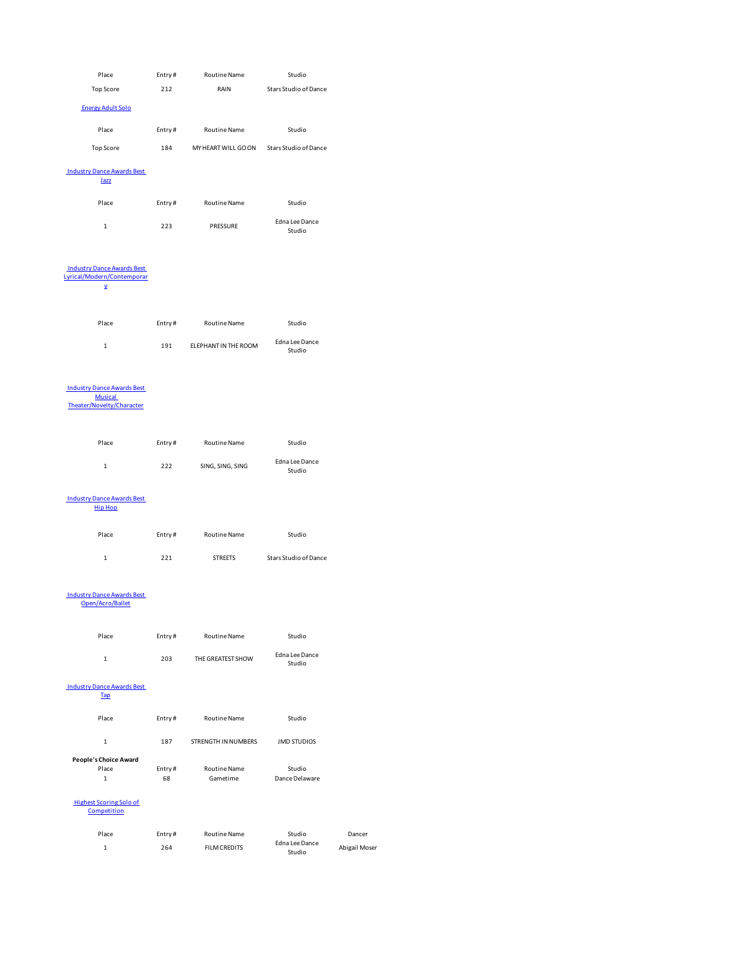| Place                                                                            | Entry#       | Routine Name                              | Studio                   |               |
|----------------------------------------------------------------------------------|--------------|-------------------------------------------|--------------------------|---------------|
| Top Score                                                                        | 212          | RAIN                                      | Stars Studio of Dance    |               |
| <b>Energy Adult Solo</b>                                                         |              |                                           |                          |               |
| Place                                                                            | Entry#       | <b>Routine Name</b>                       | Studio                   |               |
| Top Score                                                                        | 184          | MY HEART WILL GO ON Stars Studio of Dance |                          |               |
| <b>Industry Dance Awards Best</b><br>Jazz                                        |              |                                           |                          |               |
| Place                                                                            | Entry#       | Routine Name                              | Studio                   |               |
| $\mathbf{1}$                                                                     | 223          | PRESSURE                                  | Edna Lee Dance<br>Studio |               |
| <b>Industry Dance Awards Best</b><br>Lyrical/Modern/Contemporar<br>Y             |              |                                           |                          |               |
| Place                                                                            | Entry#       | Routine Name                              | Studio                   |               |
| $\mathbf 1$                                                                      | 191          | ELEPHANT IN THE ROOM                      | Edna Lee Dance<br>Studio |               |
| <b>Industry Dance Awards Best</b><br><b>Musical</b><br>Theater/Novelty/Character |              |                                           |                          |               |
| Place                                                                            | Entry#       | Routine Name                              | Studio                   |               |
| $\mathbf 1$                                                                      | 222          | SING, SING, SING                          | Edna Lee Dance<br>Studio |               |
| <b>Industry Dance Awards Best</b><br><b>Hip Hop</b>                              |              |                                           |                          |               |
| Place                                                                            | Entry#       | Routine Name                              | Studio                   |               |
| $\mathbf 1$                                                                      | 221          | <b>STREETS</b>                            | Stars Studio of Dance    |               |
| <b>Industry Dance Awards Best</b><br>Open/Acro/Ballet                            |              |                                           |                          |               |
| Place                                                                            | Entry#       | Routine Name                              | Studio                   |               |
| $\mathbf 1$                                                                      | 203          | THE GREATEST SHOW                         | Edna Lee Dance<br>Studio |               |
| <b>Industry Dance Awards Best</b><br>Tap                                         |              |                                           |                          |               |
| Place                                                                            | Entry#       | <b>Routine Name</b>                       | Studio                   |               |
| $\mathbf 1$                                                                      | 187          | STRENGTH IN NUMBERS                       | <b>JMD STUDIOS</b>       |               |
| People's Choice Award<br>Place<br>$\mathbf 1$                                    | Entry#<br>68 | Routine Name<br>Gametime                  | Studio<br>Dance Delaware |               |
| <b>Highest Scoring Solo of</b><br>Competition                                    |              |                                           |                          |               |
| Place                                                                            | Entry#       | Routine Name                              | Studio                   | Dancer        |
| $\mathbf 1$                                                                      | 264          | <b>FILM CREDITS</b>                       | Edna Lee Dance<br>Studio | Abigail Moser |